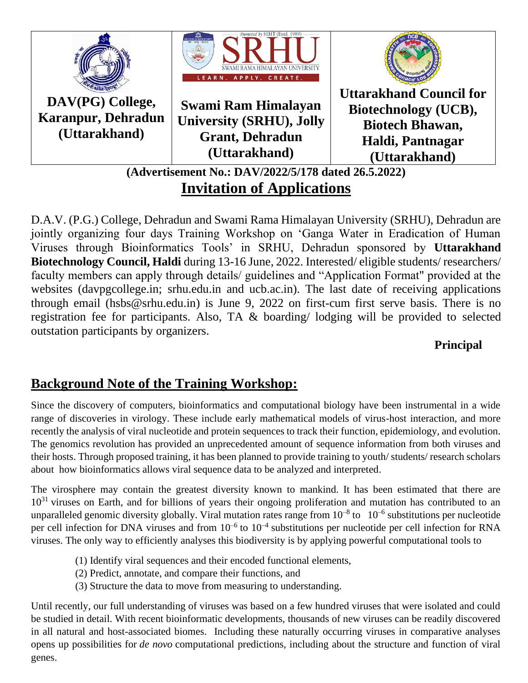

D.A.V. (P.G.) College, Dehradun and Swami Rama Himalayan University (SRHU), Dehradun are jointly organizing four days Training Workshop on 'Ganga Water in Eradication of Human Viruses through Bioinformatics Tools' in SRHU, Dehradun sponsored by **Uttarakhand Biotechnology Council, Haldi** during 13-16 June, 2022. Interested/ eligible students/ researchers/ faculty members can apply through details/ guidelines and "Application Format" provided at the websites (davpgcollege.in; srhu.edu.in and ucb.ac.in). The last date of receiving applications through email [\(hsbs@srhu.edu.in\)](mailto:hsbs@srhu.edu.in) is June 9, 2022 on first-cum first serve basis. There is no registration fee for participants. Also, TA & boarding/ lodging will be provided to selected outstation participants by organizers.

#### **Principal**

## **Background Note of the Training Workshop:**

Since the discovery of computers, bioinformatics and computational biology have been instrumental in a wide range of discoveries in virology. These include early mathematical models of virus-host interaction, and more recently the analysis of viral nucleotide and protein sequences to track their function, epidemiology, and evolution. The genomics revolution has provided an unprecedented amount of sequence information from both viruses and their hosts. Through proposed training, it has been planned to provide training to youth/ students/ research scholars about how bioinformatics allows viral sequence data to be analyzed and interpreted.

The virosphere may contain the greatest diversity known to mankind. It has been estimated that there are  $10^{31}$  viruses on Earth, and for billions of years their ongoing proliferation and mutation has contributed to an unparalleled genomic diversity globally. Viral mutation rates range from  $10^{-8}$  to  $10^{-6}$  substitutions per nucleotide per cell infection for DNA viruses and from  $10^{-6}$  to  $10^{-4}$  substitutions per nucleotide per cell infection for RNA viruses. The only way to efficiently analyses this biodiversity is by applying powerful computational tools to

- (1) Identify viral sequences and their encoded functional elements,
- (2) Predict, annotate, and compare their functions, and
- (3) Structure the data to move from measuring to understanding.

Until recently, our full understanding of viruses was based on a few hundred viruses that were isolated and could be studied in detail. With recent bioinformatic developments, thousands of new viruses can be readily discovered in all natural and host-associated biomes. Including these naturally occurring viruses in comparative analyses opens up possibilities for *de novo* computational predictions, including about the structure and function of viral genes.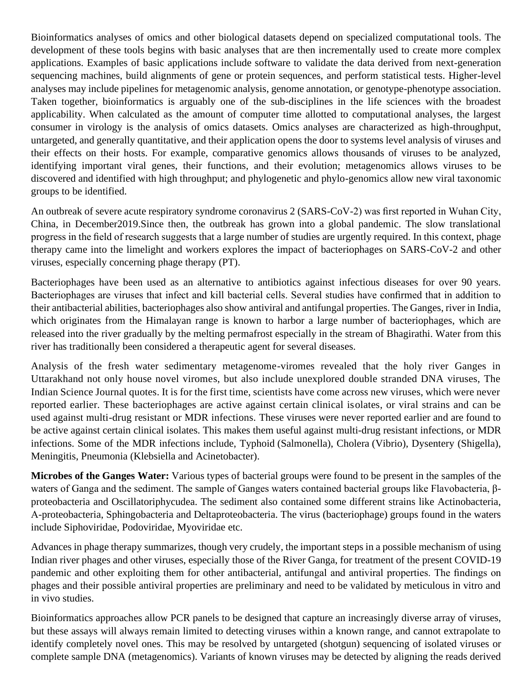Bioinformatics analyses of omics and other biological datasets depend on specialized computational tools. The development of these tools begins with basic analyses that are then incrementally used to create more complex applications. Examples of basic applications include software to validate the data derived from next-generation sequencing machines, build alignments of gene or protein sequences, and perform statistical tests. Higher-level analyses may include pipelines for metagenomic analysis, genome annotation, or genotype-phenotype association. Taken together, bioinformatics is arguably one of the sub-disciplines in the life sciences with the broadest applicability. When calculated as the amount of computer time allotted to computational analyses, the largest consumer in virology is the analysis of omics datasets. Omics analyses are characterized as high-throughput, untargeted, and generally quantitative, and their application opens the door to systems level analysis of viruses and their effects on their hosts. For example, comparative genomics allows thousands of viruses to be analyzed, identifying important viral genes, their functions, and their evolution; metagenomics allows viruses to be discovered and identified with high throughput; and phylogenetic and phylo-genomics allow new viral taxonomic groups to be identified.

An outbreak of severe acute respiratory syndrome coronavirus 2 (SARS-CoV-2) was first reported in Wuhan City, China, in December2019.Since then, the outbreak has grown into a global pandemic. The slow translational progress in the field of research suggests that a large number of studies are urgently required. In this context, phage therapy came into the limelight and workers explores the impact of bacteriophages on SARS-CoV-2 and other viruses, especially concerning phage therapy (PT).

Bacteriophages have been used as an alternative to antibiotics against infectious diseases for over 90 years. Bacteriophages are viruses that infect and kill bacterial cells. Several studies have confirmed that in addition to their antibacterial abilities, bacteriophages also show antiviral and antifungal properties. The Ganges, river in India, which originates from the Himalayan range is known to harbor a large number of bacteriophages, which are released into the river gradually by the melting permafrost especially in the stream of Bhagirathi. Water from this river has traditionally been considered a therapeutic agent for several diseases.

Analysis of the fresh water sedimentary metagenome-viromes revealed that the holy river Ganges in Uttarakhand not only house novel viromes, but also include unexplored double stranded DNA viruses, The Indian Science Journal quotes. It is for the first time, scientists have come across new viruses, which were never reported earlier. These bacteriophages are active against certain clinical isolates, or viral strains and can be used against multi-drug resistant or MDR infections. These viruses were never reported earlier and are found to be active against certain clinical isolates. This makes them useful against [multi-drug resistant](https://www.medindia.net/patients/patientinfo/drug-resistance-antibiotic-resistance.htm) infections, or MDR infections. Some of the MDR infections include, [Typhoid](https://www.medindia.net/patients/waterborne/enteric_fever.htm) (Salmonella), [Cholera](https://www.medindia.net/patients/waterborne/cholera.htm) (Vibrio), Dysentery (Shigella), Meningitis, [Pneumonia](https://www.medindia.net/patients/patientinfo/pneumonia.htm) (Klebsiella and Acinetobacter).

**Microbes of the Ganges Water:** Various types of bacterial groups were found to be present in the samples of the waters of Ganga and the sediment. The sample of Ganges waters contained bacterial groups like Flavobacteria, βproteobacteria and Oscillatoriphycudea. The sediment also contained some different strains like Actinobacteria, Α-proteobacteria, Sphingobacteria and Deltaproteobacteria. The virus (bacteriophage) groups found in the waters include Siphoviridae, Podoviridae, Myoviridae etc.

Advances in phage therapy summarizes, though very crudely, the important steps in a possible mechanism of using Indian river phages and other viruses, especially those of the River Ganga, for treatment of the present COVID-19 pandemic and other exploiting them for other antibacterial, antifungal and antiviral properties. The findings on phages and their possible antiviral properties are preliminary and need to be validated by meticulous in vitro and in vivo studies.

Bioinformatics approaches allow PCR panels to be designed that capture an increasingly diverse array of viruses, but these assays will always remain limited to detecting viruses within a known range, and cannot extrapolate to identify completely novel ones. This may be resolved by untargeted (shotgun) sequencing of isolated viruses or complete sample DNA (metagenomics). Variants of known viruses may be detected by aligning the reads derived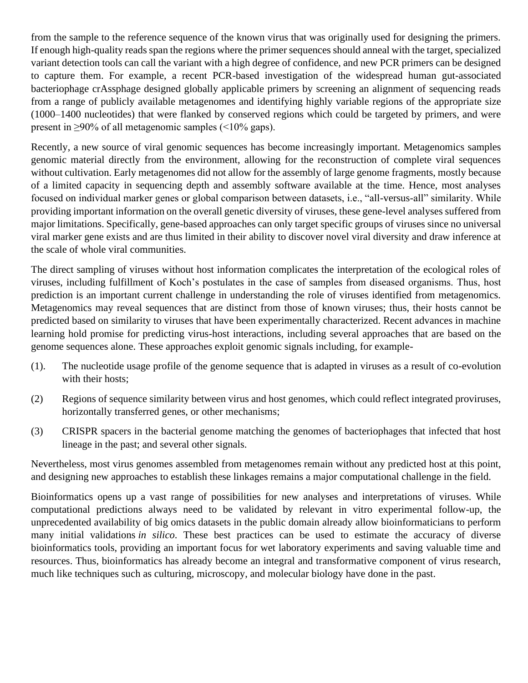from the sample to the reference sequence of the known virus that was originally used for designing the primers. If enough high-quality reads span the regions where the primer sequences should anneal with the target, specialized variant detection tools can call the variant with a high degree of confidence, and new PCR primers can be designed to capture them. For example, a recent PCR-based investigation of the widespread human gut-associated bacteriophage crAssphage designed globally applicable primers by screening an alignment of sequencing reads from a range of publicly available metagenomes and identifying highly variable regions of the appropriate size (1000–1400 nucleotides) that were flanked by conserved regions which could be targeted by primers, and were present in  $\geq 90\%$  of all metagenomic samples (<10% gaps).

Recently, a new source of viral genomic sequences has become increasingly important. Metagenomics samples genomic material directly from the environment, allowing for the reconstruction of complete viral sequences without cultivation. Early metagenomes did not allow for the assembly of large genome fragments, mostly because of a limited capacity in sequencing depth and assembly software available at the time. Hence, most analyses focused on individual marker genes or global comparison between datasets, i.e., "all-versus-all" similarity. While providing important information on the overall genetic diversity of viruses, these gene-level analyses suffered from major limitations. Specifically, gene-based approaches can only target specific groups of viruses since no universal viral marker gene exists and are thus limited in their ability to discover novel viral diversity and draw inference at the scale of whole viral communities.

The direct sampling of viruses without host information complicates the interpretation of the ecological roles of viruses, including fulfillment of Koch's postulates in the case of samples from diseased organisms. Thus, host prediction is an important current challenge in understanding the role of viruses identified from metagenomics. Metagenomics may reveal sequences that are distinct from those of known viruses; thus, their hosts cannot be predicted based on similarity to viruses that have been experimentally characterized. Recent advances in machine learning hold promise for predicting virus-host interactions, including several approaches that are based on the genome sequences alone. These approaches exploit genomic signals including, for example-

- (1). The nucleotide usage profile of the genome sequence that is adapted in viruses as a result of co-evolution with their hosts;
- (2) Regions of sequence similarity between virus and host genomes, which could reflect integrated proviruses, horizontally transferred genes, or other mechanisms;
- (3) CRISPR spacers in the bacterial genome matching the genomes of bacteriophages that infected that host lineage in the past; and several other signals.

Nevertheless, most virus genomes assembled from metagenomes remain without any predicted host at this point, and designing new approaches to establish these linkages remains a major computational challenge in the field.

Bioinformatics opens up a vast range of possibilities for new analyses and interpretations of viruses. While computational predictions always need to be validated by relevant in vitro experimental follow-up, the unprecedented availability of big omics datasets in the public domain already allow bioinformaticians to perform many initial validations *in silico*. These best practices can be used to estimate the accuracy of diverse bioinformatics tools, providing an important focus for wet laboratory experiments and saving valuable time and resources. Thus, bioinformatics has already become an integral and transformative component of virus research, much like techniques such as culturing, microscopy, and molecular biology have done in the past.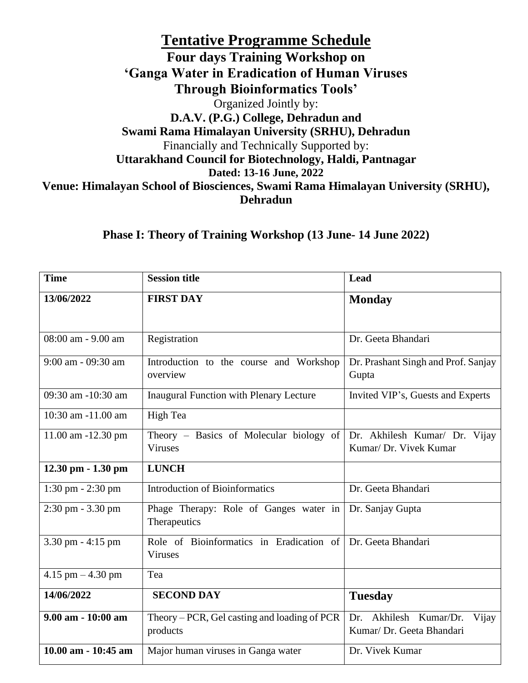### **Tentative Programme Schedule Four days Training Workshop on 'Ganga Water in Eradication of Human Viruses Through Bioinformatics Tools'** Organized Jointly by: **D.A.V. (P.G.) College, Dehradun and Swami Rama Himalayan University (SRHU), Dehradun**  Financially and Technically Supported by: **Uttarakhand Council for Biotechnology, Haldi, Pantnagar Dated: 13-16 June, 2022 Venue: Himalayan School of Biosciences, Swami Rama Himalayan University (SRHU), Dehradun**

#### **Phase I: Theory of Training Workshop (13 June- 14 June 2022)**

| <b>Time</b>            | <b>Session title</b>                                                          | Lead                                                            |
|------------------------|-------------------------------------------------------------------------------|-----------------------------------------------------------------|
| 13/06/2022             | <b>FIRST DAY</b>                                                              | <b>Monday</b>                                                   |
| 08:00 am - 9.00 am     | Registration                                                                  | Dr. Geeta Bhandari                                              |
| 9:00 am - 09:30 am     | Introduction to the course and Workshop<br>overview                           | Dr. Prashant Singh and Prof. Sanjay<br>Gupta                    |
| 09:30 am -10:30 am     | <b>Inaugural Function with Plenary Lecture</b>                                | Invited VIP's, Guests and Experts                               |
| 10:30 am -11.00 am     | High Tea                                                                      |                                                                 |
| 11.00 am -12.30 pm     | Theory – Basics of Molecular biology of<br><b>Viruses</b>                     | Dr. Akhilesh Kumar/ Dr. Vijay<br>Kumar/ Dr. Vivek Kumar         |
| $12.30$ pm $-1.30$ pm  | <b>LUNCH</b>                                                                  |                                                                 |
| 1:30 pm - 2:30 pm      | <b>Introduction of Bioinformatics</b>                                         | Dr. Geeta Bhandari                                              |
| 2:30 pm - 3.30 pm      | Phage Therapy: Role of Ganges water in<br>Therapeutics                        | Dr. Sanjay Gupta                                                |
| 3.30 pm - 4:15 pm      | Role of Bioinformatics in Eradication of Dr. Geeta Bhandari<br><b>Viruses</b> |                                                                 |
| 4.15 pm $-4.30$ pm     | Tea                                                                           |                                                                 |
| 14/06/2022             | <b>SECOND DAY</b>                                                             | <b>Tuesday</b>                                                  |
| $9.00$ am - $10:00$ am | Theory – PCR, Gel casting and loading of PCR<br>products                      | Akhilesh Kumar/Dr.<br>Dr.<br>Vijay<br>Kumar/ Dr. Geeta Bhandari |
| 10.00 am - 10:45 am    | Major human viruses in Ganga water                                            | Dr. Vivek Kumar                                                 |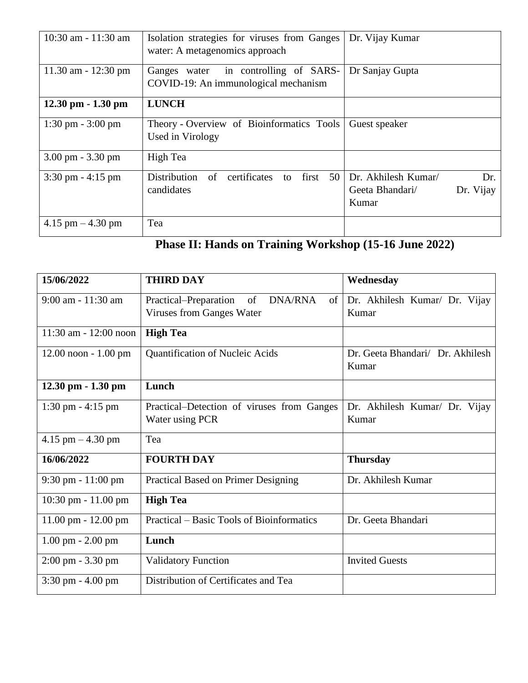| $10:30$ am $-11:30$ am              | Isolation strategies for viruses from Ganges<br>water: A metagenomics approach | Dr. Vijay Kumar                                                     |
|-------------------------------------|--------------------------------------------------------------------------------|---------------------------------------------------------------------|
| $11.30$ am $-12:30$ pm              | Ganges water in controlling of SARS-<br>COVID-19: An immunological mechanism   | Dr Sanjay Gupta                                                     |
| $12.30$ pm $-1.30$ pm               | <b>LUNCH</b>                                                                   |                                                                     |
| $1:30 \text{ pm} - 3:00 \text{ pm}$ | Theory - Overview of Bioinformatics Tools<br>Used in Virology                  | Guest speaker                                                       |
| $3.00 \text{ pm} - 3.30 \text{ pm}$ | High Tea                                                                       |                                                                     |
| $3:30 \text{ pm} - 4:15 \text{ pm}$ | certificates<br>Distribution<br>50<br>first<br>of<br>to<br>candidates          | Dr. Akhilesh Kumar/<br>Dr.<br>Geeta Bhandari/<br>Dr. Vijay<br>Kumar |
| 4.15 pm $-$ 4.30 pm                 | Tea                                                                            |                                                                     |

# **Phase II: Hands on Training Workshop (15-16 June 2022)**

| 15/06/2022                            | <b>THIRD DAY</b>                                    | Wednesday                                 |
|---------------------------------------|-----------------------------------------------------|-------------------------------------------|
| 9:00 am - 11:30 am                    | Practical-Preparation<br>of<br><b>DNA/RNA</b><br>of | Dr. Akhilesh Kumar/ Dr. Vijay             |
|                                       | Viruses from Ganges Water                           | Kumar                                     |
| $11:30$ am $-12:00$ noon              | <b>High Tea</b>                                     |                                           |
| $12.00$ noon $-1.00$ pm               | <b>Quantification of Nucleic Acids</b>              | Dr. Geeta Bhandari/ Dr. Akhilesh<br>Kumar |
|                                       | Lunch                                               |                                           |
| $12.30$ pm $-1.30$ pm                 |                                                     |                                           |
| $1:30 \text{ pm} - 4:15 \text{ pm}$   | Practical–Detection of viruses from Ganges          | Dr. Akhilesh Kumar/ Dr. Vijay             |
|                                       | Water using PCR                                     | Kumar                                     |
| $4.15$ pm $-4.30$ pm                  | Tea                                                 |                                           |
| 16/06/2022                            | <b>FOURTH DAY</b>                                   | <b>Thursday</b>                           |
| $9:30 \text{ pm} - 11:00 \text{ pm}$  | Practical Based on Primer Designing                 | Dr. Akhilesh Kumar                        |
| $10:30 \text{ pm} - 11.00 \text{ pm}$ | <b>High Tea</b>                                     |                                           |
| $11.00 \text{ pm} - 12.00 \text{ pm}$ | Practical – Basic Tools of Bioinformatics           | Dr. Geeta Bhandari                        |
| $1.00$ pm $- 2.00$ pm                 | Lunch                                               |                                           |
| $2:00 \text{ pm} - 3.30 \text{ pm}$   | <b>Validatory Function</b>                          | <b>Invited Guests</b>                     |
| $3:30 \text{ pm} - 4.00 \text{ pm}$   | Distribution of Certificates and Tea                |                                           |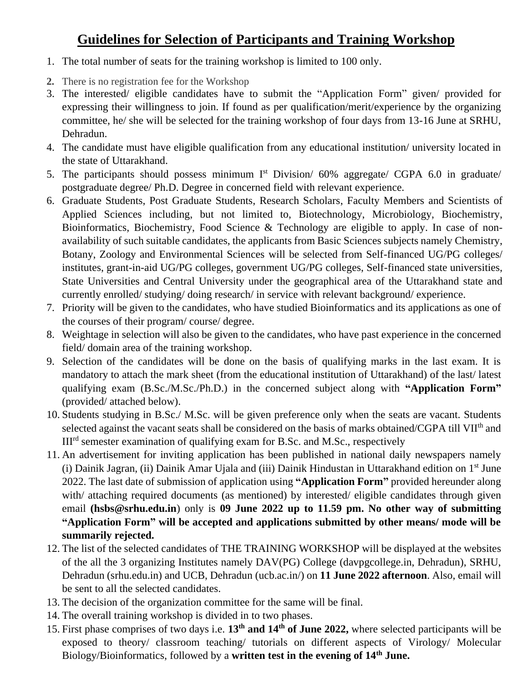## **Guidelines for Selection of Participants and Training Workshop**

- 1. The total number of seats for the training workshop is limited to 100 only.
- **2.** There is no registration fee for the Workshop
- 3. The interested/ eligible candidates have to submit the "Application Form" given/ provided for expressing their willingness to join. If found as per qualification/merit/experience by the organizing committee, he/ she will be selected for the training workshop of four days from 13-16 June at SRHU, Dehradun.
- 4. The candidate must have eligible qualification from any educational institution/ university located in the state of Uttarakhand.
- 5. The participants should possess minimum  $I<sup>st</sup>$  Division/ 60% aggregate/ CGPA 6.0 in graduate/ postgraduate degree/ Ph.D. Degree in concerned field with relevant experience.
- 6. Graduate Students, Post Graduate Students, Research Scholars, Faculty Members and Scientists of Applied Sciences including, but not limited to, Biotechnology, Microbiology, Biochemistry, Bioinformatics, Biochemistry, Food Science & Technology are eligible to apply. In case of nonavailability of such suitable candidates, the applicants from Basic Sciences subjects namely Chemistry, Botany, Zoology and Environmental Sciences will be selected from Self-financed UG/PG colleges/ institutes, grant-in-aid UG/PG colleges, government UG/PG colleges, Self-financed state universities, State Universities and Central University under the geographical area of the Uttarakhand state and currently enrolled/ studying/ doing research/ in service with relevant background/ experience.
- 7. Priority will be given to the candidates, who have studied Bioinformatics and its applications as one of the courses of their program/ course/ degree.
- 8. Weightage in selection will also be given to the candidates, who have past experience in the concerned field/ domain area of the training workshop.
- 9. Selection of the candidates will be done on the basis of qualifying marks in the last exam. It is mandatory to attach the mark sheet (from the educational institution of Uttarakhand) of the last/ latest qualifying exam (B.Sc./M.Sc./Ph.D.) in the concerned subject along with **"Application Form"** (provided/ attached below).
- 10. Students studying in B.Sc./ M.Sc. will be given preference only when the seats are vacant. Students selected against the vacant seats shall be considered on the basis of marks obtained/CGPA till VII<sup>th</sup> and  $III<sup>rd</sup>$  semester examination of qualifying exam for B.Sc. and M.Sc., respectively
- 11. An advertisement for inviting application has been published in national daily newspapers namely (i) Dainik Jagran, (ii) Dainik Amar Ujala and (iii) Dainik Hindustan in Uttarakhand edition on 1st June 2022. The last date of submission of application using **"Application Form"** provided hereunder along with/ attaching required documents (as mentioned) by interested/ eligible candidates through given email **[\(hsbs@srhu.edu.in](mailto:hsbs@srhu.edu.in)**) only is **09 June 2022 up to 11.59 pm. No other way of submitting "Application Form" will be accepted and applications submitted by other means/ mode will be summarily rejected.**
- 12. The list of the selected candidates of THE TRAINING WORKSHOP will be displayed at the websites of the all the 3 organizing Institutes namely DAV(PG) College (davpgcollege.in, Dehradun), SRHU, Dehradun (srhu.edu.in) and UCB, Dehradun (ucb.ac.in/) on **11 June 2022 afternoon**. Also, email will be sent to all the selected candidates.
- 13. The decision of the organization committee for the same will be final.
- 14. The overall training workshop is divided in to two phases.
- 15. First phase comprises of two days i.e. **13th and 14th of June 2022,** where selected participants will be exposed to theory/ classroom teaching/ tutorials on different aspects of Virology/ Molecular Biology/Bioinformatics, followed by a **written test in the evening of 14th June.**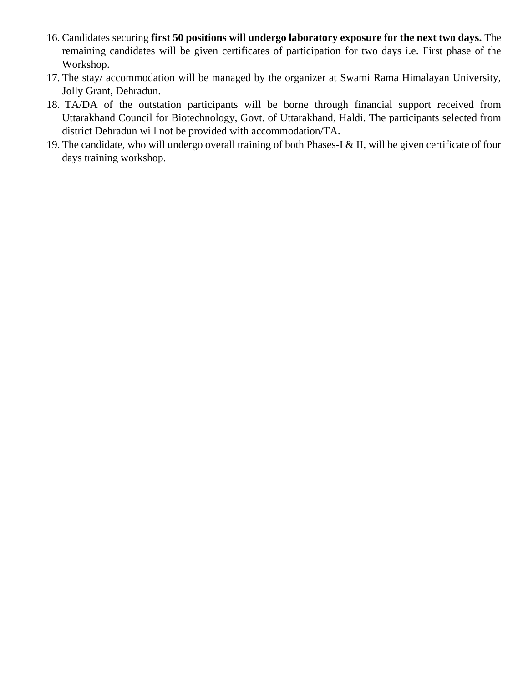- 16. Candidates securing **first 50 positions will undergo laboratory exposure for the next two days.** The remaining candidates will be given certificates of participation for two days i.e. First phase of the Workshop.
- 17. The stay/ accommodation will be managed by the organizer at Swami Rama Himalayan University, Jolly Grant, Dehradun.
- 18. TA/DA of the outstation participants will be borne through financial support received from Uttarakhand Council for Biotechnology, Govt. of Uttarakhand, Haldi. The participants selected from district Dehradun will not be provided with accommodation/TA.
- 19. The candidate, who will undergo overall training of both Phases-I & II, will be given certificate of four days training workshop.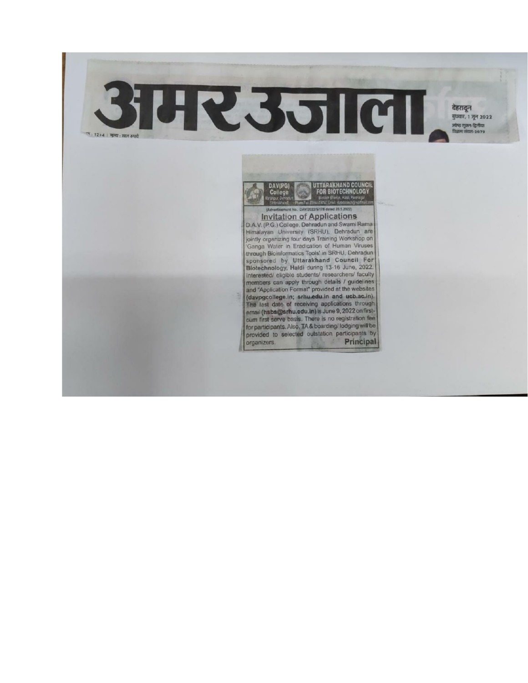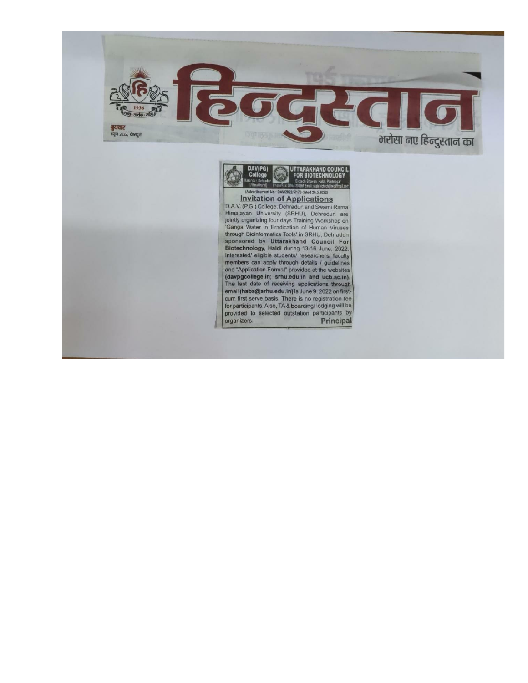